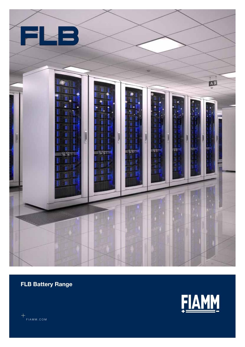

FLB Battery Range



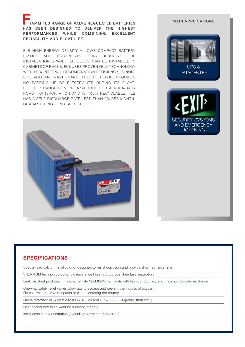AMM FLB RANGE OF VALVE REGULATED BATTERIES HAS BEEN DESIGNED TO DELIVER THE HIGHEST PERFORMANCES WHILE COMBINING EXCELLENT RELIABILITY AND FLOAT LIFE.

FLB HIGH ENERGY DENSITY ALLOWS COMPACT BATTERY LAYOUT AND FOOTPRINTS, THIS REDUCING THE INSTALLATION SPACE. FLB BLOCS CAN BE INSTALLED IN CABINETS OR RACKS. FLB USES PROVEN VRLA TECHNOLOGY WITH 99% INTERNAL RECOMBINATION EFFICIENCY, IS NON-SPILLABLE AND MAINTENANCE FREE THEREFORE REQUIRES NO TOPPING UP OF ELECTROLYTE DURING ITS FLOAT-LIFE. FLB RANGE IS NON-HAZARDOUS FOR AIR/SEA/RAIL/ ROAD TRANSPORTATION AND IS 100% RECYCLABLE. FLB HAS A SELF-DISCHARGE RATE LESS THAN 2% PER MONTH, GUARANTEEING LONG SHELF-LIFE.



# UPS & **DATACENTER** SECURITY SYSYEMS AND EMERGENCY **LIGHTNING**

MAIN APPLICATIONS

### SPECIFICATIONS

Special lead calcium tin alloy grid, designed to resist corrosion and provide short recharge time

VRLA AGM technology using low resistance high microporous fiberglass separators

Leak resistant post seal, threaded female M5/M6/M8 terminals with high conductivity and maximum torque resistance

One-way safety relief valves allow gas to escape and prevent the ingress of oxygen. Flame arrestors prevent sparks or flames entering the battery

Flame retardant ABS plastic to IEC 707 FV0 and UL94 FV0 (LOI greater than 28%)

Heat sealed box to lid weld for superior integrity

Installation in any orientation (excluding permanently inverted)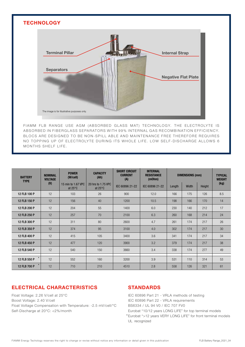

FIAMM FLB RANGE USE AGM (ABSORBED GLASS MAT) TECHNOLOGY. THE ELECTROLYTE IS AB SORBED IN FIBERGLASS SEPARATORS WITH 99% INTERNAL GAS RECOMBINATION EFFICIENCY. BLOCS ARE DESIGNED TO BE NON-SPILL ABLE AND MAINTENANCE FREE THEREFORE REQUIRES NO TOPPING UP OF ELECTROLYTE DURING ITS WHOLE LIFE. LOW SELF-DISCHARGE ALLOWS 6 MONTHS SHELF LIFE.

| <b>BATTERY</b><br><b>TYPE</b> | <b>NOMINAL</b><br><b>VOLTAGE</b><br>(V) | <b>POWER</b><br>(W/cell)                | <b>CAPACITY</b><br>(Ah)                 | <b>SHORT CIRCUIT</b><br><b>CURRENT</b><br>(A) | <b>INTERNAL</b><br><b>RESISTANCE</b><br>(mOhm) | <b>DIMENSIONS (mm)</b> |       |        | <b>TYPICAL</b><br><b>WEIGHT</b> |
|-------------------------------|-----------------------------------------|-----------------------------------------|-----------------------------------------|-----------------------------------------------|------------------------------------------------|------------------------|-------|--------|---------------------------------|
|                               |                                         | 15 min to 1.67 VPC<br>at $25^{\circ}$ C | 20 hrs to 1.75 VPC<br>at $25^{\circ}$ C | IEC 60896 21-22                               | IEC 60896 21-22                                | Length                 | Width | Height | (kg)                            |
| 12 FLB 100 P                  | 12                                      | 103                                     | 26                                      | 900                                           | 12.0                                           | 166                    | 175   | 126    | 8.5                             |
| 12 FLB 150 P                  | 12                                      | 156                                     | 40                                      | 1200                                          | 10.5                                           | 198                    | 166   | 170    | 14                              |
| 12 FLB 200 P                  | 12                                      | 204                                     | 55                                      | 1400                                          | 6.0                                            | 230                    | 140   | 212    | 17                              |
| 12 FLB 250 P                  | 12                                      | 257                                     | 70                                      | 2100                                          | 6.3                                            | 260                    | 168   | 214    | 24                              |
| 12 FLB 300 P                  | 12                                      | 311                                     | 80                                      | 2600                                          | 4.7                                            | 261                    | 174   | 217    | 26                              |
| 12 FLB 350 P                  | 12                                      | 374                                     | 95                                      | 3100                                          | 4.0                                            | 302                    | 174   | 217    | 30                              |
| 12 FLB 400 P                  | 12                                      | 415                                     | 105                                     | 3400                                          | 3.6                                            | 341                    | 174   | 217    | 34                              |
| 12 FLB 450 P                  | 12                                      | 477                                     | 120                                     | 3900                                          | 3.2                                            | 379                    | 174   | 217    | 38                              |
| 12 FLB 540 P                  | 12                                      | 540                                     | 150                                     | 3660                                          | 3.4                                            | 338                    | 174   | 277    | 49                              |
| 12 FLB 550 P                  | 12                                      | 552                                     | 160                                     | 3200                                          | 3.9                                            | 531                    | 110   | 314    | 53                              |
| $\star$<br>12 FLB 700 P       | 12                                      | 710                                     | 210                                     | 4510                                          | 2.8                                            | 558                    | 126   | 321    | 61                              |

## ELECTRICAL CHARACTERISTICS

Float Voltage: 2.26 V/cell at 25°C Boost Voltage: 2.40 V/cell Float Voltage Compensation with Temperature: -2.5 mV/cell/°C Self-Discharge at 20°C: <2%/month

### STANDARDS

IEC 60896 Part 21 - VRLA methods of testing IEC 60896 Part 22 - VRLA requirements BS6334 / UL 94 V0 / IEC 707 FV0

Eurobat "10/12 years LONG LIFE" for top terminal models Eurobat ">12 years VERY LONG LIFE" for front terminal models \*UL recognized